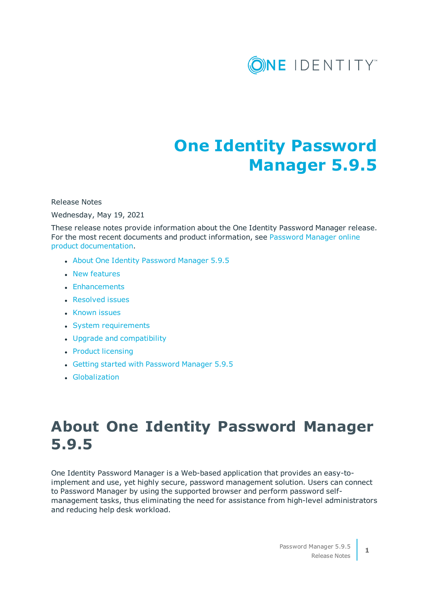

# **One Identity Password Manager 5.9.5**

Release Notes

Wednesday, May 19, 2021

These release notes provide information about the One Identity Password Manager release. For the most recent documents and product information, see [Password](https://support.oneidentity.com/password-manager/technical-documents) Manager online product [documentation](https://support.oneidentity.com/password-manager/technical-documents).

- About One Identity [Password](#page-0-0) Manager 5.9.5
- $\cdot$  New [features](#page-1-0)
- [Enhancements](#page-1-1)
- [Resolved](#page-3-0) issues
- [Known](#page-9-0) issues
- System [requirements](#page-16-0)
- Upgrade and [compatibility](#page-21-0)
- Product [licensing](#page-21-1)
- Getting started with [Password](#page-22-0) Manager 5.9.5
- **.** [Globalization](#page-22-1)

# <span id="page-0-0"></span>**About One Identity Password Manager 5.9.5**

One Identity Password Manager is a Web-based application that provides an easy-toimplement and use, yet highly secure, password management solution. Users can connect to Password Manager by using the supported browser and perform password selfmanagement tasks, thus eliminating the need for assistance from high-level administrators and reducing help desk workload.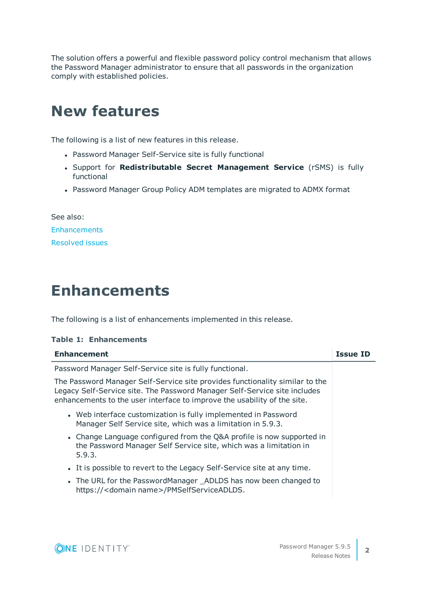The solution offers a powerful and flexible password policy control mechanism that allows the Password Manager administrator to ensure that all passwords in the organization comply with established policies.

# <span id="page-1-0"></span>**New features**

The following is a list of new features in this release.

- Password Manager Self-Service site is fully functional
- <sup>l</sup> Support for **Redistributable Secret Management Service** (rSMS) is fully functional
- Password Manager Group Policy ADM templates are migrated to ADMX format

See also: **[Enhancements](#page-1-1)** [Resolved](#page-3-0) issues

## <span id="page-1-1"></span>**Enhancements**

The following is a list of enhancements implemented in this release.

### **Table 1: Enhancements**

| <b>Enhancement</b>                                                                                                                                                                                                                    | <b>Issue ID</b> |
|---------------------------------------------------------------------------------------------------------------------------------------------------------------------------------------------------------------------------------------|-----------------|
| Password Manager Self-Service site is fully functional.                                                                                                                                                                               |                 |
| The Password Manager Self-Service site provides functionality similar to the<br>Legacy Self-Service site. The Password Manager Self-Service site includes<br>enhancements to the user interface to improve the usability of the site. |                 |
| • Web interface customization is fully implemented in Password<br>Manager Self Service site, which was a limitation in 5.9.3.                                                                                                         |                 |
| • Change Language configured from the Q&A profile is now supported in<br>the Password Manager Self Service site, which was a limitation in<br>5.9.3.                                                                                  |                 |
| It is possible to revert to the Legacy Self-Service site at any time.                                                                                                                                                                 |                 |
| • The URL for the PasswordManager _ADLDS has now been changed to<br>https:// <domain name="">/PMSelfServiceADLDS.</domain>                                                                                                            |                 |



**2**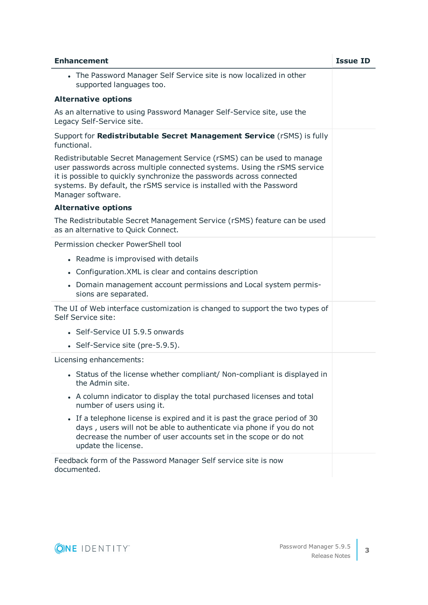| <b>Enhancement</b>                                                                                                                                                                                                                                                                                                      | <b>Issue ID</b> |
|-------------------------------------------------------------------------------------------------------------------------------------------------------------------------------------------------------------------------------------------------------------------------------------------------------------------------|-----------------|
| • The Password Manager Self Service site is now localized in other<br>supported languages too.                                                                                                                                                                                                                          |                 |
| <b>Alternative options</b>                                                                                                                                                                                                                                                                                              |                 |
| As an alternative to using Password Manager Self-Service site, use the<br>Legacy Self-Service site.                                                                                                                                                                                                                     |                 |
| Support for Redistributable Secret Management Service (rSMS) is fully<br>functional.                                                                                                                                                                                                                                    |                 |
| Redistributable Secret Management Service (rSMS) can be used to manage<br>user passwords across multiple connected systems. Using the rSMS service<br>it is possible to quickly synchronize the passwords across connected<br>systems. By default, the rSMS service is installed with the Password<br>Manager software. |                 |
| <b>Alternative options</b>                                                                                                                                                                                                                                                                                              |                 |
| The Redistributable Secret Management Service (rSMS) feature can be used<br>as an alternative to Quick Connect.                                                                                                                                                                                                         |                 |
| Permission checker PowerShell tool                                                                                                                                                                                                                                                                                      |                 |
| • Readme is improvised with details                                                                                                                                                                                                                                                                                     |                 |
| • Configuration. XML is clear and contains description                                                                                                                                                                                                                                                                  |                 |
| • Domain management account permissions and Local system permis-<br>sions are separated.                                                                                                                                                                                                                                |                 |
| The UI of Web interface customization is changed to support the two types of<br>Self Service site:                                                                                                                                                                                                                      |                 |
| • Self-Service UI 5.9.5 onwards                                                                                                                                                                                                                                                                                         |                 |
| • Self-Service site (pre-5.9.5).                                                                                                                                                                                                                                                                                        |                 |
| Licensing enhancements:                                                                                                                                                                                                                                                                                                 |                 |
| • Status of the license whether compliant/ Non-compliant is displayed in<br>the Admin site.                                                                                                                                                                                                                             |                 |
| • A column indicator to display the total purchased licenses and total<br>number of users using it.                                                                                                                                                                                                                     |                 |
| If a telephone license is expired and it is past the grace period of 30<br>days, users will not be able to authenticate via phone if you do not<br>decrease the number of user accounts set in the scope or do not<br>update the license.                                                                               |                 |
| Feedback form of the Password Manager Self service site is now<br>documented.                                                                                                                                                                                                                                           |                 |

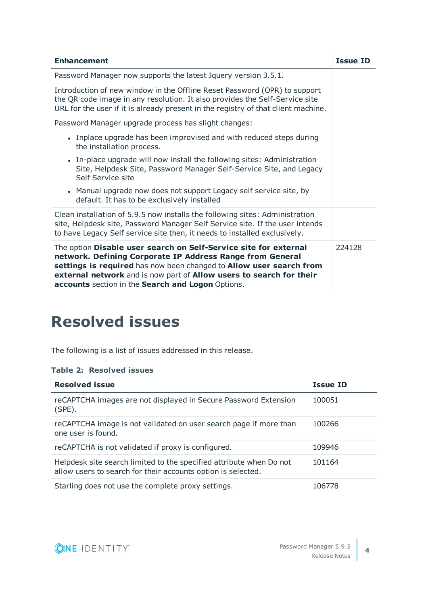| <b>Enhancement</b>                                                                                                                                                                                                                                                                                                               | <b>Issue ID</b> |
|----------------------------------------------------------------------------------------------------------------------------------------------------------------------------------------------------------------------------------------------------------------------------------------------------------------------------------|-----------------|
| Password Manager now supports the latest Jquery version 3.5.1.                                                                                                                                                                                                                                                                   |                 |
| Introduction of new window in the Offline Reset Password (OPR) to support<br>the QR code image in any resolution. It also provides the Self-Service site<br>URL for the user if it is already present in the registry of that client machine.                                                                                    |                 |
| Password Manager upgrade process has slight changes:                                                                                                                                                                                                                                                                             |                 |
| • Inplace upgrade has been improvised and with reduced steps during<br>the installation process.                                                                                                                                                                                                                                 |                 |
| • In-place upgrade will now install the following sites: Administration<br>Site, Helpdesk Site, Password Manager Self-Service Site, and Legacy<br>Self Service site                                                                                                                                                              |                 |
| • Manual upgrade now does not support Legacy self service site, by<br>default. It has to be exclusively installed                                                                                                                                                                                                                |                 |
| Clean installation of 5.9.5 now installs the following sites: Administration<br>site, Helpdesk site, Password Manager Self Service site. If the user intends<br>to have Legacy Self service site then, it needs to installed exclusively.                                                                                        |                 |
| The option Disable user search on Self-Service site for external<br>network. Defining Corporate IP Address Range from General<br>settings is required has now been changed to Allow user search from<br>external network and is now part of Allow users to search for their<br>accounts section in the Search and Logon Options. | 224128          |

# <span id="page-3-0"></span>**Resolved issues**

The following is a list of issues addressed in this release.

### **Table 2: Resolved issues**

| <b>Resolved issue</b>                                                                                                               | <b>Issue ID</b> |
|-------------------------------------------------------------------------------------------------------------------------------------|-----------------|
| reCAPTCHA images are not displayed in Secure Password Extension<br>(SPE).                                                           | 100051          |
| reCAPTCHA image is not validated on user search page if more than<br>one user is found.                                             | 100266          |
| reCAPTCHA is not validated if proxy is configured.                                                                                  | 109946          |
| Helpdesk site search limited to the specified attribute when Do not<br>allow users to search for their accounts option is selected. | 101164          |
| Starling does not use the complete proxy settings.                                                                                  | 106778          |

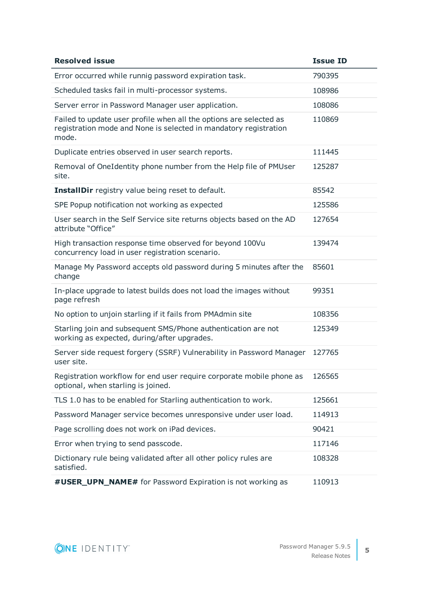| <b>Resolved issue</b>                                                                                                                           | <b>Issue ID</b> |
|-------------------------------------------------------------------------------------------------------------------------------------------------|-----------------|
| Error occurred while runnig password expiration task.                                                                                           | 790395          |
| Scheduled tasks fail in multi-processor systems.                                                                                                | 108986          |
| Server error in Password Manager user application.                                                                                              | 108086          |
| Failed to update user profile when all the options are selected as<br>registration mode and None is selected in mandatory registration<br>mode. | 110869          |
| Duplicate entries observed in user search reports.                                                                                              | 111445          |
| Removal of OneIdentity phone number from the Help file of PMUser<br>site.                                                                       | 125287          |
| <b>InstallDir</b> registry value being reset to default.                                                                                        | 85542           |
| SPE Popup notification not working as expected                                                                                                  | 125586          |
| User search in the Self Service site returns objects based on the AD<br>attribute "Office"                                                      | 127654          |
| High transaction response time observed for beyond 100Vu<br>concurrency load in user registration scenario.                                     | 139474          |
| Manage My Password accepts old password during 5 minutes after the<br>change                                                                    | 85601           |
| In-place upgrade to latest builds does not load the images without<br>page refresh                                                              | 99351           |
| No option to unjoin starling if it fails from PMAdmin site                                                                                      | 108356          |
| Starling join and subsequent SMS/Phone authentication are not<br>working as expected, during/after upgrades.                                    | 125349          |
| Server side request forgery (SSRF) Vulnerability in Password Manager<br>user site.                                                              | 127765          |
| Registration workflow for end user require corporate mobile phone as<br>optional, when starling is joined.                                      | 126565          |
| TLS 1.0 has to be enabled for Starling authentication to work.                                                                                  | 125661          |
| Password Manager service becomes unresponsive under user load.                                                                                  | 114913          |
| Page scrolling does not work on iPad devices.                                                                                                   | 90421           |
| Error when trying to send passcode.                                                                                                             | 117146          |
| Dictionary rule being validated after all other policy rules are<br>satisfied.                                                                  | 108328          |
| #USER_UPN_NAME# for Password Expiration is not working as                                                                                       | 110913          |

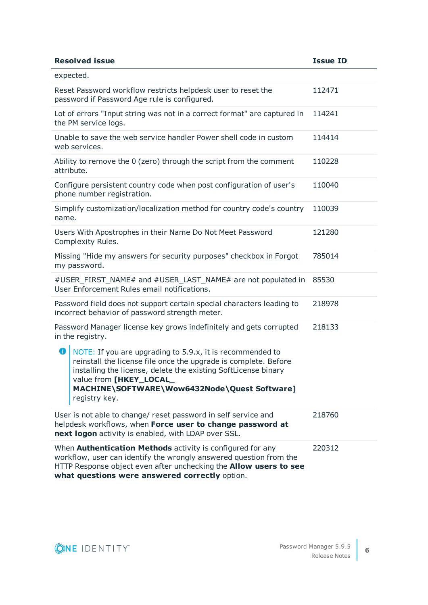| <b>Resolved issue</b>                                                                                                                                                                                                                                                                           | <b>Issue ID</b> |
|-------------------------------------------------------------------------------------------------------------------------------------------------------------------------------------------------------------------------------------------------------------------------------------------------|-----------------|
| expected.                                                                                                                                                                                                                                                                                       |                 |
| Reset Password workflow restricts helpdesk user to reset the<br>password if Password Age rule is configured.                                                                                                                                                                                    | 112471          |
| Lot of errors "Input string was not in a correct format" are captured in<br>the PM service logs.                                                                                                                                                                                                | 114241          |
| Unable to save the web service handler Power shell code in custom<br>web services.                                                                                                                                                                                                              | 114414          |
| Ability to remove the 0 (zero) through the script from the comment<br>attribute.                                                                                                                                                                                                                | 110228          |
| Configure persistent country code when post configuration of user's<br>phone number registration.                                                                                                                                                                                               | 110040          |
| Simplify customization/localization method for country code's country<br>name.                                                                                                                                                                                                                  | 110039          |
| Users With Apostrophes in their Name Do Not Meet Password<br>Complexity Rules.                                                                                                                                                                                                                  | 121280          |
| Missing "Hide my answers for security purposes" checkbox in Forgot<br>my password.                                                                                                                                                                                                              | 785014          |
| #USER_FIRST_NAME# and #USER_LAST_NAME# are not populated in<br>User Enforcement Rules email notifications.                                                                                                                                                                                      | 85530           |
| Password field does not support certain special characters leading to<br>incorrect behavior of password strength meter.                                                                                                                                                                         | 218978          |
| Password Manager license key grows indefinitely and gets corrupted<br>in the registry.                                                                                                                                                                                                          | 218133          |
| 0<br>NOTE: If you are upgrading to 5.9.x, it is recommended to<br>reinstall the license file once the upgrade is complete. Before<br>installing the license, delete the existing SoftLicense binary<br>value from [HKEY_LOCAL_<br>MACHINE\SOFTWARE\Wow6432Node\Quest Software]<br>registry key. |                 |
| User is not able to change/ reset password in self service and<br>helpdesk workflows, when Force user to change password at<br>next logon activity is enabled, with LDAP over SSL.                                                                                                              | 218760          |
| When <b>Authentication Methods</b> activity is configured for any<br>workflow, user can identify the wrongly answered question from the<br>HTTP Response object even after unchecking the <b>Allow users to see</b><br>what questions were answered correctly option.                           | 220312          |

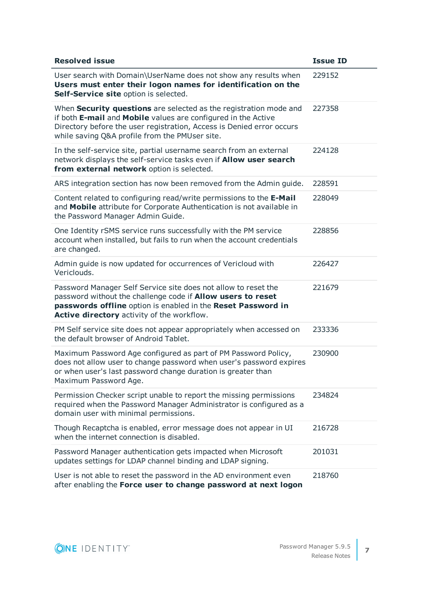| <b>Resolved issue</b>                                                                                                                                                                                                                                         | <b>Issue ID</b> |
|---------------------------------------------------------------------------------------------------------------------------------------------------------------------------------------------------------------------------------------------------------------|-----------------|
| User search with Domain\UserName does not show any results when<br>Users must enter their logon names for identification on the<br>Self-Service site option is selected.                                                                                      | 229152          |
| When Security questions are selected as the registration mode and<br>if both E-mail and Mobile values are configured in the Active<br>Directory before the user registration, Access is Denied error occurs<br>while saving Q&A profile from the PMUser site. | 227358          |
| In the self-service site, partial username search from an external<br>network displays the self-service tasks even if <b>Allow user search</b><br>from external network option is selected.                                                                   | 224128          |
| ARS integration section has now been removed from the Admin guide.                                                                                                                                                                                            | 228591          |
| Content related to configuring read/write permissions to the E-Mail<br>and Mobile attribute for Corporate Authentication is not available in<br>the Password Manager Admin Guide.                                                                             | 228049          |
| One Identity rSMS service runs successfully with the PM service<br>account when installed, but fails to run when the account credentials<br>are changed.                                                                                                      | 228856          |
| Admin guide is now updated for occurrences of Vericloud with<br>Vericlouds.                                                                                                                                                                                   | 226427          |
| Password Manager Self Service site does not allow to reset the<br>password without the challenge code if <b>Allow users to reset</b><br>passwords offline option is enabled in the Reset Password in<br>Active directory activity of the workflow.            | 221679          |
| PM Self service site does not appear appropriately when accessed on<br>the default browser of Android Tablet.                                                                                                                                                 | 233336          |
| Maximum Password Age configured as part of PM Password Policy,<br>does not allow user to change password when user's password expires<br>or when user's last password change duration is greater than<br>Maximum Password Age.                                | 230900          |
| Permission Checker script unable to report the missing permissions<br>required when the Password Manager Administrator is configured as a<br>domain user with minimal permissions.                                                                            | 234824          |
| Though Recaptcha is enabled, error message does not appear in UI<br>when the internet connection is disabled.                                                                                                                                                 | 216728          |
| Password Manager authentication gets impacted when Microsoft<br>updates settings for LDAP channel binding and LDAP signing.                                                                                                                                   | 201031          |
| User is not able to reset the password in the AD environment even<br>after enabling the Force user to change password at next logon                                                                                                                           | 218760          |

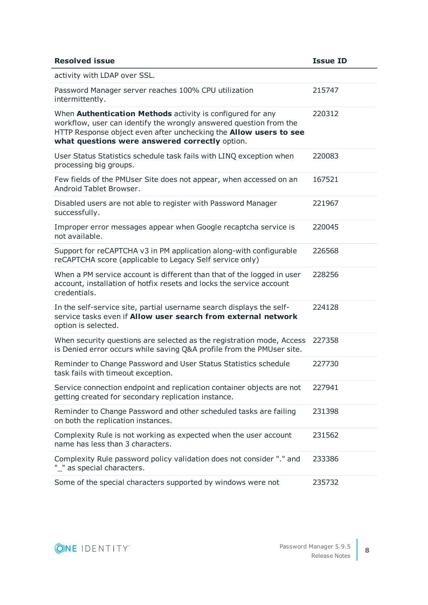| <b>Resolved issue</b>                                                                                                                                                                                                                                                 | <b>Issue ID</b> |
|-----------------------------------------------------------------------------------------------------------------------------------------------------------------------------------------------------------------------------------------------------------------------|-----------------|
| activity with LDAP over SSL.                                                                                                                                                                                                                                          |                 |
| Password Manager server reaches 100% CPU utilization<br>intermittently.                                                                                                                                                                                               | 215747          |
| When <b>Authentication Methods</b> activity is configured for any<br>workflow, user can identify the wrongly answered question from the<br>HTTP Response object even after unchecking the <b>Allow users to see</b><br>what questions were answered correctly option. | 220312          |
| User Status Statistics schedule task fails with LINQ exception when<br>processing big groups.                                                                                                                                                                         | 220083          |
| Few fields of the PMUser Site does not appear, when accessed on an<br>Android Tablet Browser.                                                                                                                                                                         | 167521          |
| Disabled users are not able to register with Password Manager<br>successfully.                                                                                                                                                                                        | 221967          |
| Improper error messages appear when Google recaptcha service is<br>not available.                                                                                                                                                                                     | 220045          |
| Support for reCAPTCHA v3 in PM application along-with configurable<br>reCAPTCHA score (applicable to Legacy Self service only)                                                                                                                                        | 226568          |
| When a PM service account is different than that of the logged in user<br>account, installation of hotfix resets and locks the service account<br>credentials.                                                                                                        | 228256          |
| In the self-service site, partial username search displays the self-<br>service tasks even if Allow user search from external network<br>option is selected.                                                                                                          | 224128          |
| When security questions are selected as the registration mode, Access<br>is Denied error occurs while saving Q&A profile from the PMUser site.                                                                                                                        | 227358          |
| Reminder to Change Password and User Status Statistics schedule<br>task fails with timeout exception.                                                                                                                                                                 | 227730          |
| Service connection endpoint and replication container objects are not<br>getting created for secondary replication instance.                                                                                                                                          | 227941          |
| Reminder to Change Password and other scheduled tasks are failing<br>on both the replication instances.                                                                                                                                                               | 231398          |
| Complexity Rule is not working as expected when the user account<br>name has less than 3 characters.                                                                                                                                                                  | 231562          |
| Complexity Rule password policy validation does not consider "." and<br>"_" as special characters.                                                                                                                                                                    | 233386          |
| Some of the special characters supported by windows were not                                                                                                                                                                                                          | 235732          |

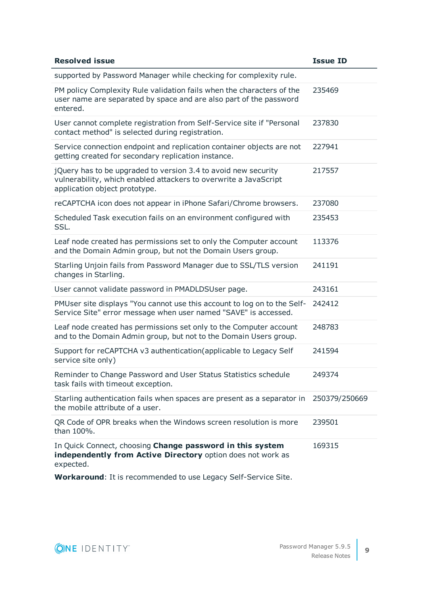| <b>Resolved issue</b>                                                                                                                                               | <b>Issue ID</b> |
|---------------------------------------------------------------------------------------------------------------------------------------------------------------------|-----------------|
| supported by Password Manager while checking for complexity rule.                                                                                                   |                 |
| PM policy Complexity Rule validation fails when the characters of the<br>user name are separated by space and are also part of the password<br>entered.             | 235469          |
| User cannot complete registration from Self-Service site if "Personal<br>contact method" is selected during registration.                                           | 237830          |
| Service connection endpoint and replication container objects are not<br>getting created for secondary replication instance.                                        | 227941          |
| jQuery has to be upgraded to version 3.4 to avoid new security<br>vulnerability, which enabled attackers to overwrite a JavaScript<br>application object prototype. | 217557          |
| reCAPTCHA icon does not appear in iPhone Safari/Chrome browsers.                                                                                                    | 237080          |
| Scheduled Task execution fails on an environment configured with<br>SSL.                                                                                            | 235453          |
| Leaf node created has permissions set to only the Computer account<br>and the Domain Admin group, but not the Domain Users group.                                   | 113376          |
| Starling Unjoin fails from Password Manager due to SSL/TLS version<br>changes in Starling.                                                                          | 241191          |
| User cannot validate password in PMADLDSUser page.                                                                                                                  | 243161          |
| PMUser site displays "You cannot use this account to log on to the Self-<br>Service Site" error message when user named "SAVE" is accessed.                         | 242412          |
| Leaf node created has permissions set only to the Computer account<br>and to the Domain Admin group, but not to the Domain Users group.                             | 248783          |
| Support for reCAPTCHA v3 authentication(applicable to Legacy Self<br>service site only)                                                                             | 241594          |
| Reminder to Change Password and User Status Statistics schedule<br>task fails with timeout exception.                                                               | 249374          |
| Starling authentication fails when spaces are present as a separator in<br>the mobile attribute of a user.                                                          | 250379/250669   |
| QR Code of OPR breaks when the Windows screen resolution is more<br>than 100%.                                                                                      | 239501          |
| In Quick Connect, choosing Change password in this system<br>independently from Active Directory option does not work as<br>expected.                               | 169315          |

**Workaround**: It is recommended to use Legacy Self-Service Site.

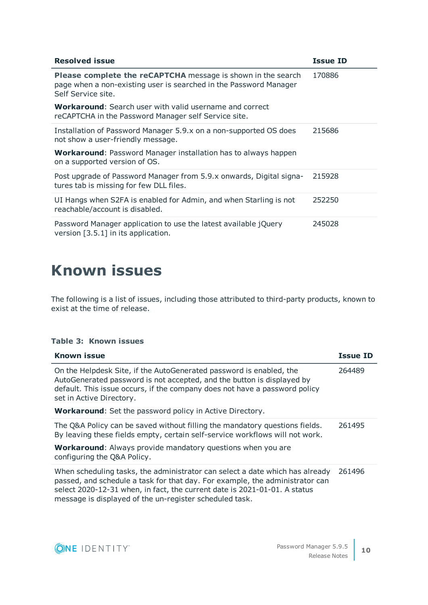| <b>Resolved issue</b>                                                                                                                                          | <b>Issue ID</b> |
|----------------------------------------------------------------------------------------------------------------------------------------------------------------|-----------------|
| <b>Please complete the reCAPTCHA</b> message is shown in the search<br>page when a non-existing user is searched in the Password Manager<br>Self Service site. | 170886          |
| <b>Workaround:</b> Search user with valid username and correct<br>reCAPTCHA in the Password Manager self Service site.                                         |                 |
| Installation of Password Manager 5.9.x on a non-supported OS does<br>not show a user-friendly message.                                                         | 215686          |
| <b>Workaround:</b> Password Manager installation has to always happen<br>on a supported version of OS.                                                         |                 |
| Post upgrade of Password Manager from 5.9.x onwards, Digital signa-<br>tures tab is missing for few DLL files.                                                 | 215928          |
| UI Hangs when S2FA is enabled for Admin, and when Starling is not<br>reachable/account is disabled.                                                            | 252250          |
| Password Manager application to use the latest available jQuery<br>version [3.5.1] in its application.                                                         | 245028          |

# <span id="page-9-0"></span>**Known issues**

The following is a list of issues, including those attributed to third-party products, known to exist at the time of release.

### **Table 3: Known issues**

| <b>Known issue</b>                                                                                                                                                                                                                                                                                   | <b>Issue ID</b> |
|------------------------------------------------------------------------------------------------------------------------------------------------------------------------------------------------------------------------------------------------------------------------------------------------------|-----------------|
| On the Helpdesk Site, if the AutoGenerated password is enabled, the<br>AutoGenerated password is not accepted, and the button is displayed by<br>default. This issue occurs, if the company does not have a password policy<br>set in Active Directory.                                              | 264489          |
| Workaround: Set the password policy in Active Directory.                                                                                                                                                                                                                                             |                 |
| The Q&A Policy can be saved without filling the mandatory questions fields.<br>By leaving these fields empty, certain self-service workflows will not work.                                                                                                                                          | 261495          |
| <b>Workaround:</b> Always provide mandatory questions when you are<br>configuring the Q&A Policy.                                                                                                                                                                                                    |                 |
| When scheduling tasks, the administrator can select a date which has already<br>passed, and schedule a task for that day. For example, the administrator can<br>select 2020-12-31 when, in fact, the current date is 2021-01-01. A status<br>message is displayed of the un-register scheduled task. | 261496          |

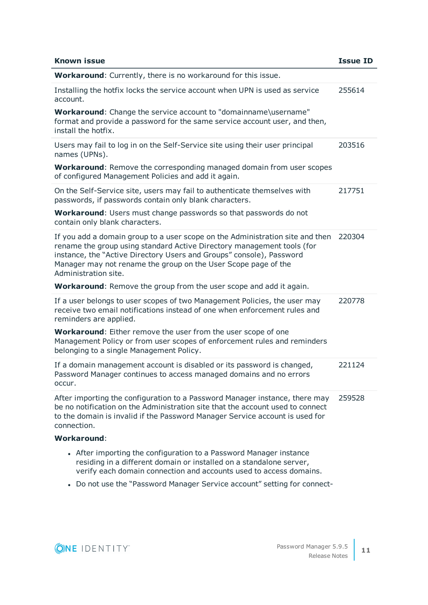| <b>Known issue</b>                                                                                                                                                                                                                                                                                                        | <b>Issue ID</b> |
|---------------------------------------------------------------------------------------------------------------------------------------------------------------------------------------------------------------------------------------------------------------------------------------------------------------------------|-----------------|
| Workaround: Currently, there is no workaround for this issue.                                                                                                                                                                                                                                                             |                 |
| Installing the hotfix locks the service account when UPN is used as service<br>account.                                                                                                                                                                                                                                   | 255614          |
| Workaround: Change the service account to "domainname\username"<br>format and provide a password for the same service account user, and then,<br>install the hotfix.                                                                                                                                                      |                 |
| Users may fail to log in on the Self-Service site using their user principal<br>names (UPNs).                                                                                                                                                                                                                             | 203516          |
| <b>Workaround:</b> Remove the corresponding managed domain from user scopes<br>of configured Management Policies and add it again.                                                                                                                                                                                        |                 |
| On the Self-Service site, users may fail to authenticate themselves with<br>passwords, if passwords contain only blank characters.                                                                                                                                                                                        | 217751          |
| <b>Workaround:</b> Users must change passwords so that passwords do not<br>contain only blank characters.                                                                                                                                                                                                                 |                 |
| If you add a domain group to a user scope on the Administration site and then<br>rename the group using standard Active Directory management tools (for<br>instance, the "Active Directory Users and Groups" console), Password<br>Manager may not rename the group on the User Scope page of the<br>Administration site. | 220304          |
| Workaround: Remove the group from the user scope and add it again.                                                                                                                                                                                                                                                        |                 |
| If a user belongs to user scopes of two Management Policies, the user may<br>receive two email notifications instead of one when enforcement rules and<br>reminders are applied.                                                                                                                                          | 220778          |
| <b>Workaround:</b> Either remove the user from the user scope of one<br>Management Policy or from user scopes of enforcement rules and reminders<br>belonging to a single Management Policy.                                                                                                                              |                 |
| If a domain management account is disabled or its password is changed,<br>Password Manager continues to access managed domains and no errors<br>occur.                                                                                                                                                                    | 221124          |
| After importing the configuration to a Password Manager instance, there may<br>be no notification on the Administration site that the account used to connect<br>to the domain is invalid if the Password Manager Service account is used for<br>connection.                                                              | 259528          |
| <b>Workaround:</b>                                                                                                                                                                                                                                                                                                        |                 |
| • After importing the configuration to a Password Manager instance<br>residing in a different domain or installed on a standalone server,<br>verify each domain connection and accounts used to access domains.                                                                                                           |                 |

• Do not use the "Password Manager Service account" setting for connect-

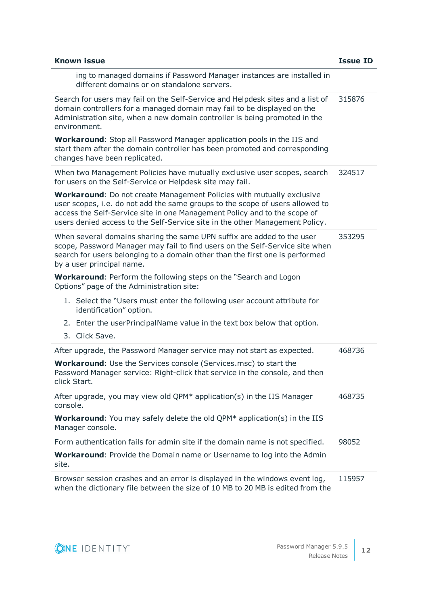| <b>Known issue</b>                                                                                                                                                                                                                                                                                                         | <b>Issue ID</b> |
|----------------------------------------------------------------------------------------------------------------------------------------------------------------------------------------------------------------------------------------------------------------------------------------------------------------------------|-----------------|
| ing to managed domains if Password Manager instances are installed in<br>different domains or on standalone servers.                                                                                                                                                                                                       |                 |
| Search for users may fail on the Self-Service and Helpdesk sites and a list of<br>domain controllers for a managed domain may fail to be displayed on the<br>Administration site, when a new domain controller is being promoted in the<br>environment.                                                                    | 315876          |
| <b>Workaround:</b> Stop all Password Manager application pools in the IIS and<br>start them after the domain controller has been promoted and corresponding<br>changes have been replicated.                                                                                                                               |                 |
| When two Management Policies have mutually exclusive user scopes, search<br>for users on the Self-Service or Helpdesk site may fail.                                                                                                                                                                                       | 324517          |
| <b>Workaround:</b> Do not create Management Policies with mutually exclusive<br>user scopes, i.e. do not add the same groups to the scope of users allowed to<br>access the Self-Service site in one Management Policy and to the scope of<br>users denied access to the Self-Service site in the other Management Policy. |                 |
| When several domains sharing the same UPN suffix are added to the user<br>scope, Password Manager may fail to find users on the Self-Service site when<br>search for users belonging to a domain other than the first one is performed<br>by a user principal name.                                                        | 353295          |
| <b>Workaround:</b> Perform the following steps on the "Search and Logon<br>Options" page of the Administration site:                                                                                                                                                                                                       |                 |
| 1. Select the "Users must enter the following user account attribute for<br>identification" option.                                                                                                                                                                                                                        |                 |
| 2. Enter the userPrincipalName value in the text box below that option.<br>3. Click Save.                                                                                                                                                                                                                                  |                 |
| After upgrade, the Password Manager service may not start as expected.                                                                                                                                                                                                                                                     | 468736          |
| <b>Workaround:</b> Use the Services console (Services.msc) to start the<br>Password Manager service: Right-click that service in the console, and then<br>click Start.                                                                                                                                                     |                 |
| After upgrade, you may view old QPM* application(s) in the IIS Manager<br>console.                                                                                                                                                                                                                                         | 468735          |
| <b>Workaround:</b> You may safely delete the old QPM* application(s) in the IIS<br>Manager console.                                                                                                                                                                                                                        |                 |
| Form authentication fails for admin site if the domain name is not specified.                                                                                                                                                                                                                                              | 98052           |
| <b>Workaround:</b> Provide the Domain name or Username to log into the Admin<br>site.                                                                                                                                                                                                                                      |                 |
| Browser session crashes and an error is displayed in the windows event log,<br>when the dictionary file between the size of 10 MB to 20 MB is edited from the                                                                                                                                                              | 115957          |

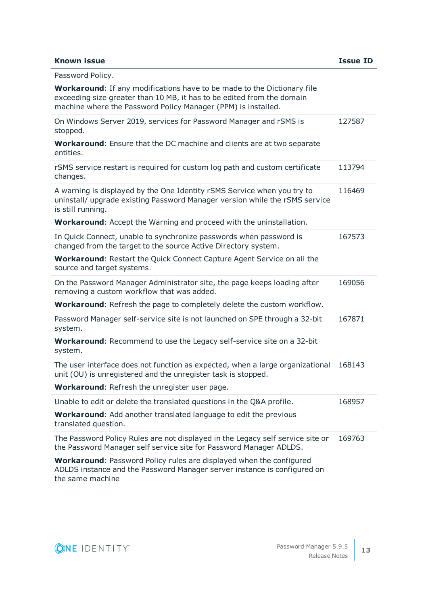### **Known issue Issue ID**

| Password Policy.                                                                                                                                                                                                          |        |
|---------------------------------------------------------------------------------------------------------------------------------------------------------------------------------------------------------------------------|--------|
| <b>Workaround:</b> If any modifications have to be made to the Dictionary file<br>exceeding size greater than 10 MB, it has to be edited from the domain<br>machine where the Password Policy Manager (PPM) is installed. |        |
| On Windows Server 2019, services for Password Manager and rSMS is<br>stopped.                                                                                                                                             | 127587 |
| <b>Workaround:</b> Ensure that the DC machine and clients are at two separate<br>entities.                                                                                                                                |        |
| rSMS service restart is required for custom log path and custom certificate<br>changes.                                                                                                                                   | 113794 |
| A warning is displayed by the One Identity rSMS Service when you try to<br>uninstall/ upgrade existing Password Manager version while the rSMS service<br>is still running.                                               | 116469 |
| Workaround: Accept the Warning and proceed with the uninstallation.                                                                                                                                                       |        |
| In Quick Connect, unable to synchronize passwords when password is<br>changed from the target to the source Active Directory system.                                                                                      | 167573 |
| <b>Workaround:</b> Restart the Quick Connect Capture Agent Service on all the<br>source and target systems.                                                                                                               |        |
| On the Password Manager Administrator site, the page keeps loading after<br>removing a custom workflow that was added.                                                                                                    | 169056 |
| <b>Workaround:</b> Refresh the page to completely delete the custom workflow.                                                                                                                                             |        |
| Password Manager self-service site is not launched on SPE through a 32-bit<br>system.                                                                                                                                     | 167871 |
| <b>Workaround:</b> Recommend to use the Legacy self-service site on a 32-bit<br>system.                                                                                                                                   |        |
| The user interface does not function as expected, when a large organizational<br>unit (OU) is unregistered and the unregister task is stopped.                                                                            | 168143 |
| Workaround: Refresh the unregister user page.                                                                                                                                                                             |        |
| Unable to edit or delete the translated questions in the Q&A profile.                                                                                                                                                     | 168957 |
| <b>Workaround:</b> Add another translated language to edit the previous<br>translated question.                                                                                                                           |        |
| The Password Policy Rules are not displayed in the Legacy self service site or<br>the Password Manager self service site for Password Manager ADLDS.                                                                      | 169763 |
| <b>Workaround: Password Policy rules are displayed when the configured</b><br>ADLDS instance and the Password Manager server instance is configured on                                                                    |        |

the same machine

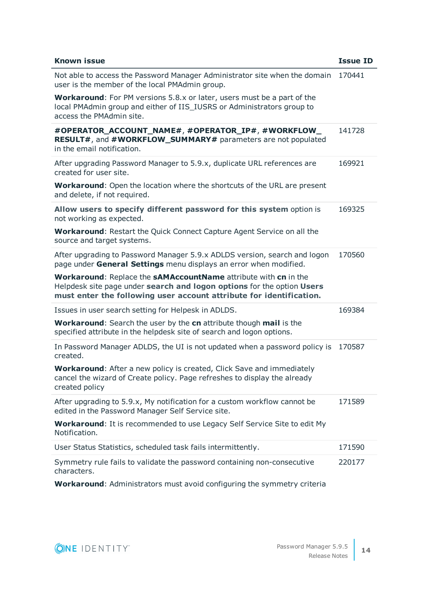| <b>Known issue</b>                                                                                                                                                                                               | <b>Issue ID</b> |
|------------------------------------------------------------------------------------------------------------------------------------------------------------------------------------------------------------------|-----------------|
| Not able to access the Password Manager Administrator site when the domain<br>user is the member of the local PMAdmin group.                                                                                     | 170441          |
| <b>Workaround:</b> For PM versions 5.8.x or later, users must be a part of the<br>local PMAdmin group and either of IIS_IUSRS or Administrators group to<br>access the PMAdmin site.                             |                 |
| #OPERATOR_ACCOUNT_NAME#, #OPERATOR_IP#, #WORKFLOW_<br>RESULT#, and #WORKFLOW_SUMMARY# parameters are not populated<br>in the email notification.                                                                 | 141728          |
| After upgrading Password Manager to 5.9.x, duplicate URL references are<br>created for user site.                                                                                                                | 169921          |
| <b>Workaround:</b> Open the location where the shortcuts of the URL are present<br>and delete, if not required.                                                                                                  |                 |
| Allow users to specify different password for this system option is<br>not working as expected.                                                                                                                  | 169325          |
| <b>Workaround:</b> Restart the Quick Connect Capture Agent Service on all the<br>source and target systems.                                                                                                      |                 |
| After upgrading to Password Manager 5.9.x ADLDS version, search and logon<br>page under General Settings menu displays an error when modified.                                                                   | 170560          |
| Workaround: Replace the sAMAccountName attribute with cn in the<br>Helpdesk site page under search and logon options for the option Users<br>must enter the following user account attribute for identification. |                 |
| Issues in user search setting for Helpesk in ADLDS.                                                                                                                                                              | 169384          |
| <b>Workaround:</b> Search the user by the cn attribute though mail is the<br>specified attribute in the helpdesk site of search and logon options.                                                               |                 |
| In Password Manager ADLDS, the UI is not updated when a password policy is<br>created.                                                                                                                           | 170587          |
| <b>Workaround:</b> After a new policy is created, Click Save and immediately<br>cancel the wizard of Create policy. Page refreshes to display the already<br>created policy                                      |                 |
| After upgrading to 5.9.x, My notification for a custom workflow cannot be<br>edited in the Password Manager Self Service site.                                                                                   | 171589          |
| <b>Workaround:</b> It is recommended to use Legacy Self Service Site to edit My<br>Notification.                                                                                                                 |                 |
| User Status Statistics, scheduled task fails intermittently.                                                                                                                                                     | 171590          |
| Symmetry rule fails to validate the password containing non-consecutive<br>characters.                                                                                                                           | 220177          |

**Workaround**: Administrators must avoid configuring the symmetry criteria

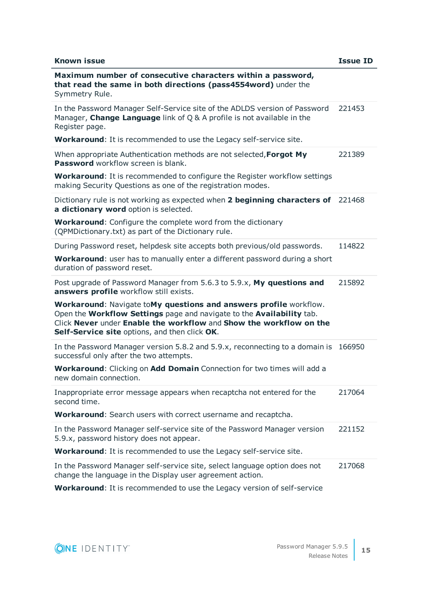| <b>Known issue</b>                                                                                                                                                                                                                                                | <b>Issue ID</b> |
|-------------------------------------------------------------------------------------------------------------------------------------------------------------------------------------------------------------------------------------------------------------------|-----------------|
| Maximum number of consecutive characters within a password,<br>that read the same in both directions (pass4554word) under the<br>Symmetry Rule.                                                                                                                   |                 |
| In the Password Manager Self-Service site of the ADLDS version of Password<br>Manager, Change Language link of $Q$ & A profile is not available in the<br>Register page.                                                                                          | 221453          |
| Workaround: It is recommended to use the Legacy self-service site.                                                                                                                                                                                                |                 |
| When appropriate Authentication methods are not selected, Forgot My<br><b>Password</b> workflow screen is blank.                                                                                                                                                  | 221389          |
| <b>Workaround:</b> It is recommended to configure the Register workflow settings<br>making Security Questions as one of the registration modes.                                                                                                                   |                 |
| Dictionary rule is not working as expected when 2 beginning characters of<br>a dictionary word option is selected.                                                                                                                                                | 221468          |
| <b>Workaround:</b> Configure the complete word from the dictionary<br>(OPMDictionary.txt) as part of the Dictionary rule.                                                                                                                                         |                 |
| During Password reset, helpdesk site accepts both previous/old passwords.                                                                                                                                                                                         | 114822          |
| Workaround: user has to manually enter a different password during a short<br>duration of password reset.                                                                                                                                                         |                 |
| Post upgrade of Password Manager from 5.6.3 to 5.9.x, My questions and<br>answers profile workflow still exists.                                                                                                                                                  | 215892          |
| Workaround: Navigate toMy questions and answers profile workflow.<br>Open the Workflow Settings page and navigate to the Availability tab.<br>Click Never under Enable the workflow and Show the workflow on the<br>Self-Service site options, and then click OK. |                 |
| In the Password Manager version 5.8.2 and 5.9.x, reconnecting to a domain is<br>successful only after the two attempts.                                                                                                                                           | 166950          |
| <b>Workaround:</b> Clicking on Add Domain Connection for two times will add a<br>new domain connection.                                                                                                                                                           |                 |
| Inappropriate error message appears when recaptcha not entered for the<br>second time.                                                                                                                                                                            | 217064          |
| Workaround: Search users with correct username and recaptcha.                                                                                                                                                                                                     |                 |
| In the Password Manager self-service site of the Password Manager version<br>5.9.x, password history does not appear.                                                                                                                                             | 221152          |
| Workaround: It is recommended to use the Legacy self-service site.                                                                                                                                                                                                |                 |
| In the Password Manager self-service site, select language option does not<br>change the language in the Display user agreement action.                                                                                                                           | 217068          |

**Workaround**: It is recommended to use the Legacy version of self-service

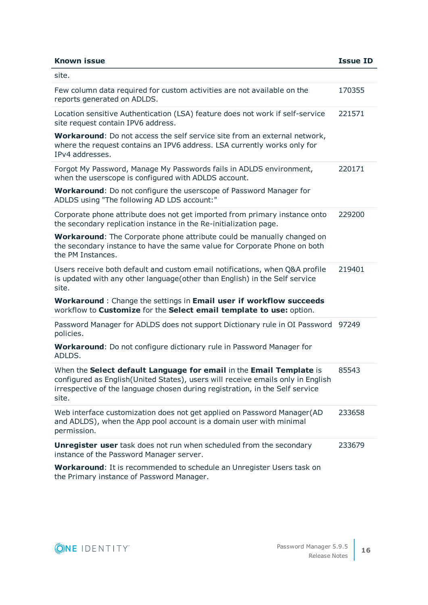| <b>Known issue</b>                                                                                                                                                                                                                              | <b>Issue ID</b> |
|-------------------------------------------------------------------------------------------------------------------------------------------------------------------------------------------------------------------------------------------------|-----------------|
| site.                                                                                                                                                                                                                                           |                 |
| Few column data required for custom activities are not available on the<br>reports generated on ADLDS.                                                                                                                                          | 170355          |
| Location sensitive Authentication (LSA) feature does not work if self-service<br>site request contain IPV6 address.                                                                                                                             | 221571          |
| <b>Workaround:</b> Do not access the self service site from an external network,<br>where the request contains an IPV6 address. LSA currently works only for<br>IPv4 addresses.                                                                 |                 |
| Forgot My Password, Manage My Passwords fails in ADLDS environment,<br>when the userscope is configured with ADLDS account.                                                                                                                     | 220171          |
| <b>Workaround:</b> Do not configure the userscope of Password Manager for<br>ADLDS using "The following AD LDS account:"                                                                                                                        |                 |
| Corporate phone attribute does not get imported from primary instance onto<br>the secondary replication instance in the Re-initialization page.                                                                                                 | 229200          |
| <b>Workaround:</b> The Corporate phone attribute could be manually changed on<br>the secondary instance to have the same value for Corporate Phone on both<br>the PM Instances.                                                                 |                 |
| Users receive both default and custom email notifications, when Q&A profile<br>is updated with any other language(other than English) in the Self service<br>site.                                                                              | 219401          |
| Workaround : Change the settings in Email user if workflow succeeds<br>workflow to Customize for the Select email template to use: option.                                                                                                      |                 |
| Password Manager for ADLDS does not support Dictionary rule in OI Password 97249<br>policies.                                                                                                                                                   |                 |
| Workaround: Do not configure dictionary rule in Password Manager for<br>ADLDS.                                                                                                                                                                  |                 |
| When the Select default Language for email in the Email Template is<br>configured as English(United States), users will receive emails only in English<br>irrespective of the language chosen during registration, in the Self service<br>site. | 85543           |
| Web interface customization does not get applied on Password Manager(AD<br>and ADLDS), when the App pool account is a domain user with minimal<br>permission.                                                                                   | 233658          |
| <b>Unregister user</b> task does not run when scheduled from the secondary<br>instance of the Password Manager server.                                                                                                                          | 233679          |
| <b>Workaround:</b> It is recommended to schedule an Unregister Users task on<br>the Primary instance of Password Manager.                                                                                                                       |                 |

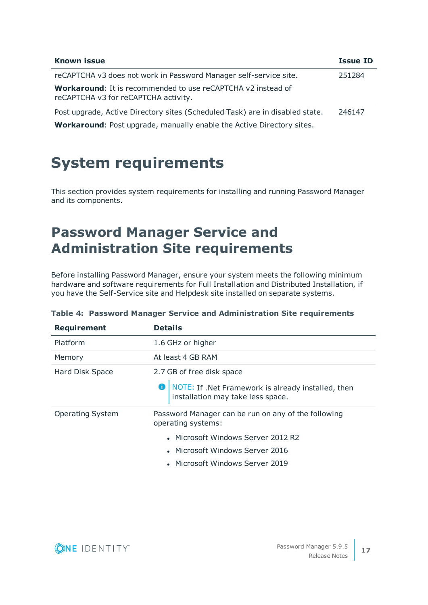| <b>Known issue</b>                                                                                          | <b>Issue ID</b> |
|-------------------------------------------------------------------------------------------------------------|-----------------|
| reCAPTCHA v3 does not work in Password Manager self-service site.                                           | 251284          |
| <b>Workaround:</b> It is recommended to use reCAPTCHA v2 instead of<br>reCAPTCHA v3 for reCAPTCHA activity. |                 |
| Post upgrade, Active Directory sites (Scheduled Task) are in disabled state.                                | 246147          |
| <b>Workaround:</b> Post upgrade, manually enable the Active Directory sites.                                |                 |

## <span id="page-16-0"></span>**System requirements**

This section provides system requirements for installing and running Password Manager and its components.

## **Password Manager Service and Administration Site requirements**

Before installing Password Manager, ensure your system meets the following minimum hardware and software requirements for Full Installation and Distributed Installation, if you have the Self-Service site and Helpdesk site installed on separate systems.

| <b>Requirement</b>      | <b>Details</b>                                                                                     |
|-------------------------|----------------------------------------------------------------------------------------------------|
| Platform                | 1.6 GHz or higher                                                                                  |
| Memory                  | At least 4 GB RAM                                                                                  |
| Hard Disk Space         | 2.7 GB of free disk space                                                                          |
|                         | <b>O</b>   NOTE: If .Net Framework is already installed, then<br>installation may take less space. |
| <b>Operating System</b> | Password Manager can be run on any of the following<br>operating systems:                          |
|                         | • Microsoft Windows Server 2012 R2                                                                 |
|                         | • Microsoft Windows Server 2016                                                                    |
|                         | • Microsoft Windows Server 2019                                                                    |

### **Table 4: Password Manager Service and Administration Site requirements**

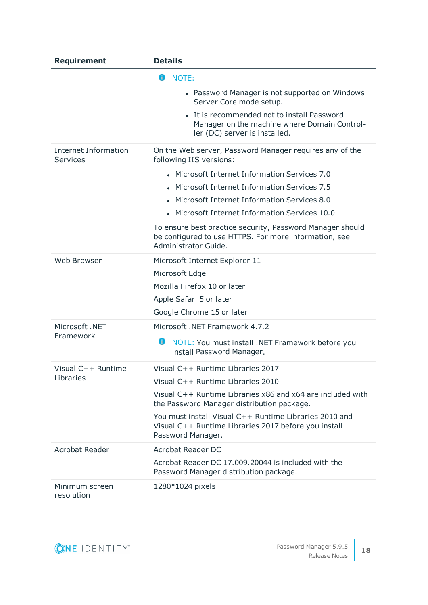| <b>Requirement</b>                             | <b>Details</b>                                                                                                                             |
|------------------------------------------------|--------------------------------------------------------------------------------------------------------------------------------------------|
|                                                | O<br>NOTE:<br>• Password Manager is not supported on Windows<br>Server Core mode setup.                                                    |
|                                                | • It is recommended not to install Password<br>Manager on the machine where Domain Control-<br>ler (DC) server is installed.               |
| <b>Internet Information</b><br><b>Services</b> | On the Web server, Password Manager requires any of the<br>following IIS versions:                                                         |
|                                                | • Microsoft Internet Information Services 7.0                                                                                              |
|                                                | • Microsoft Internet Information Services 7.5                                                                                              |
|                                                | • Microsoft Internet Information Services 8.0                                                                                              |
|                                                | • Microsoft Internet Information Services 10.0                                                                                             |
|                                                | To ensure best practice security, Password Manager should<br>be configured to use HTTPS. For more information, see<br>Administrator Guide. |
| Web Browser                                    | Microsoft Internet Explorer 11                                                                                                             |
|                                                | Microsoft Edge                                                                                                                             |
|                                                | Mozilla Firefox 10 or later                                                                                                                |
|                                                | Apple Safari 5 or later                                                                                                                    |
|                                                | Google Chrome 15 or later                                                                                                                  |
| Microsoft .NET                                 | Microsoft .NET Framework 4.7.2                                                                                                             |
| Framework                                      | o<br>NOTE: You must install .NET Framework before you<br>install Password Manager.                                                         |
| Visual C++ Runtime                             | Visual C++ Runtime Libraries 2017                                                                                                          |
| Libraries                                      | Visual C++ Runtime Libraries 2010                                                                                                          |
|                                                | Visual C++ Runtime Libraries x86 and x64 are included with<br>the Password Manager distribution package.                                   |
|                                                | You must install Visual C++ Runtime Libraries 2010 and<br>Visual C++ Runtime Libraries 2017 before you install<br>Password Manager.        |
| <b>Acrobat Reader</b>                          | <b>Acrobat Reader DC</b>                                                                                                                   |
|                                                | Acrobat Reader DC 17.009.20044 is included with the<br>Password Manager distribution package.                                              |
| Minimum screen<br>resolution                   | 1280*1024 pixels                                                                                                                           |

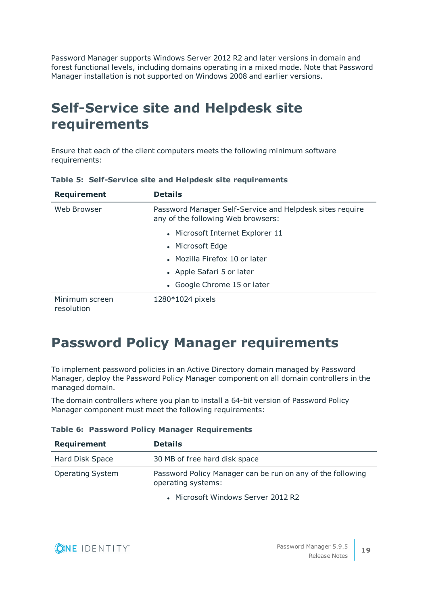Password Manager supports Windows Server 2012 R2 and later versions in domain and forest functional levels, including domains operating in a mixed mode. Note that Password Manager installation is not supported on Windows 2008 and earlier versions.

## **Self-Service site and Helpdesk site requirements**

Ensure that each of the client computers meets the following minimum software requirements:

| <b>Requirement</b>           | <b>Details</b>                                                                                 |
|------------------------------|------------------------------------------------------------------------------------------------|
| Web Browser                  | Password Manager Self-Service and Helpdesk sites require<br>any of the following Web browsers: |
|                              | • Microsoft Internet Explorer 11                                                               |
|                              | • Microsoft Edge                                                                               |
|                              | • Mozilla Firefox 10 or later                                                                  |
|                              | • Apple Safari 5 or later                                                                      |
|                              | • Google Chrome 15 or later                                                                    |
| Minimum screen<br>resolution | 1280*1024 pixels                                                                               |

**Table 5: Self-Service site and Helpdesk site requirements**

## **Password Policy Manager requirements**

To implement password policies in an Active Directory domain managed by Password Manager, deploy the Password Policy Manager component on all domain controllers in the managed domain.

The domain controllers where you plan to install a 64-bit version of Password Policy Manager component must meet the following requirements:

|  |  |  |  | Table 6: Password Policy Manager Requirements |
|--|--|--|--|-----------------------------------------------|
|--|--|--|--|-----------------------------------------------|

| Requirement             | <b>Details</b>                                                                   |
|-------------------------|----------------------------------------------------------------------------------|
| Hard Disk Space         | 30 MB of free hard disk space                                                    |
| <b>Operating System</b> | Password Policy Manager can be run on any of the following<br>operating systems: |

• Microsoft Windows Server 2012 R2

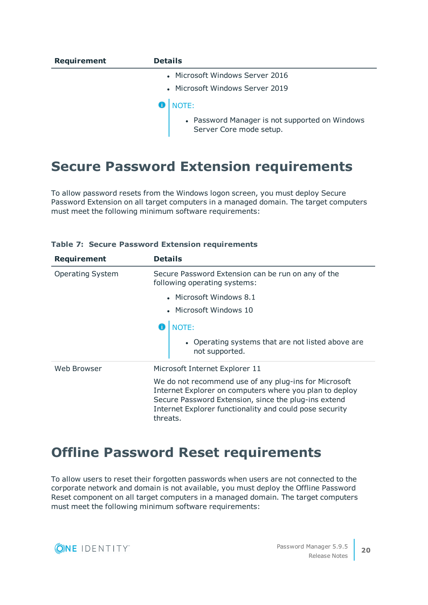| <b>Requirement</b> | <b>Details</b>                                                            |
|--------------------|---------------------------------------------------------------------------|
|                    | • Microsoft Windows Server 2016                                           |
|                    | • Microsoft Windows Server 2019                                           |
|                    | <b>NOTE:</b>                                                              |
|                    | • Password Manager is not supported on Windows<br>Server Core mode setup. |

## **Secure Password Extension requirements**

To allow password resets from the Windows logon screen, you must deploy Secure Password Extension on all target computers in a managed domain. The target computers must meet the following minimum software requirements:

| <b>Requirement</b>      | <b>Details</b>                                                                                                                                                                                                                                  |  |
|-------------------------|-------------------------------------------------------------------------------------------------------------------------------------------------------------------------------------------------------------------------------------------------|--|
| <b>Operating System</b> | Secure Password Extension can be run on any of the<br>following operating systems:                                                                                                                                                              |  |
|                         | • Microsoft Windows 8.1                                                                                                                                                                                                                         |  |
|                         | • Microsoft Windows 10                                                                                                                                                                                                                          |  |
|                         | NOTE:<br>• Operating systems that are not listed above are<br>not supported.                                                                                                                                                                    |  |
| Web Browser             | Microsoft Internet Explorer 11                                                                                                                                                                                                                  |  |
|                         | We do not recommend use of any plug-ins for Microsoft<br>Internet Explorer on computers where you plan to deploy<br>Secure Password Extension, since the plug-ins extend<br>Internet Explorer functionality and could pose security<br>threats. |  |

### **Table 7: Secure Password Extension requirements**

### **Offline Password Reset requirements**

To allow users to reset their forgotten passwords when users are not connected to the corporate network and domain is not available, you must deploy the Offline Password Reset component on all target computers in a managed domain. The target computers must meet the following minimum software requirements:

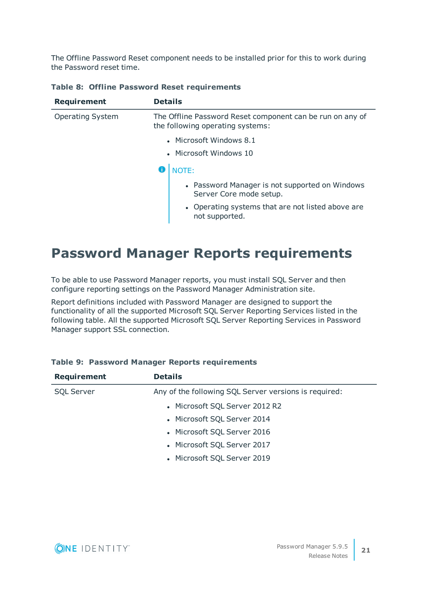The Offline Password Reset component needs to be installed prior for this to work during the Password reset time.

| Requirement             | <b>Details</b>                                                                                |                                                                           |  |
|-------------------------|-----------------------------------------------------------------------------------------------|---------------------------------------------------------------------------|--|
| <b>Operating System</b> | The Offline Password Reset component can be run on any of<br>the following operating systems: |                                                                           |  |
|                         | • Microsoft Windows 8.1<br>• Microsoft Windows 10                                             |                                                                           |  |
|                         |                                                                                               |                                                                           |  |
|                         |                                                                                               | NOTE:                                                                     |  |
|                         |                                                                                               | • Password Manager is not supported on Windows<br>Server Core mode setup. |  |
|                         |                                                                                               | • Operating systems that are not listed above are<br>not supported.       |  |

### **Table 8: Offline Password Reset requirements**

### **Password Manager Reports requirements**

To be able to use Password Manager reports, you must install SQL Server and then configure reporting settings on the Password Manager Administration site.

Report definitions included with Password Manager are designed to support the functionality of all the supported Microsoft SQL Server Reporting Services listed in the following table. All the supported Microsoft SQL Server Reporting Services in Password Manager support SSL connection.

| <b>Requirement</b> | <b>Details</b>                                        |
|--------------------|-------------------------------------------------------|
| <b>SQL Server</b>  | Any of the following SQL Server versions is required: |
|                    | • Microsoft SQL Server 2012 R2                        |
|                    | • Microsoft SQL Server 2014                           |
|                    | • Microsoft SQL Server 2016                           |
|                    | • Microsoft SQL Server 2017                           |
|                    | • Microsoft SQL Server 2019                           |

### **Table 9: Password Manager Reports requirements**

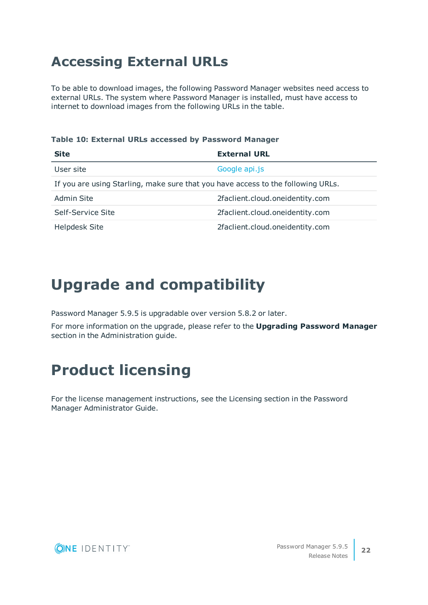## **Accessing External URLs**

To be able to download images, the following Password Manager websites need access to external URLs. The system where Password Manager is installed, must have access to internet to download images from the following URLs in the table.

### **Table 10: External URLs accessed by Password Manager**

| <b>Site</b>                                                                      | <b>External URL</b>             |  |
|----------------------------------------------------------------------------------|---------------------------------|--|
| User site                                                                        | Google api.js                   |  |
| If you are using Starling, make sure that you have access to the following URLs. |                                 |  |
| Admin Site                                                                       | 2faclient.cloud.oneidentity.com |  |
| Self-Service Site                                                                | 2faclient.cloud.oneidentity.com |  |
| <b>Helpdesk Site</b>                                                             | 2faclient.cloud.oneidentity.com |  |

## <span id="page-21-0"></span>**Upgrade and compatibility**

Password Manager 5.9.5 is upgradable over version 5.8.2 or later.

For more information on the upgrade, please refer to the **Upgrading Password Manager** section in the Administration guide.

# <span id="page-21-1"></span>**Product licensing**

For the license management instructions, see the Licensing section in the Password Manager Administrator Guide.

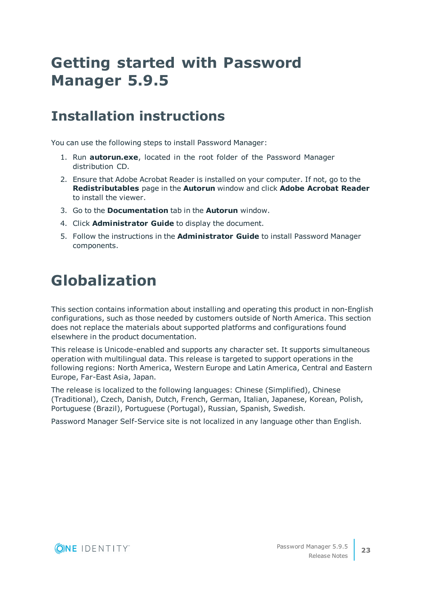# <span id="page-22-0"></span>**Getting started with Password Manager 5.9.5**

### **Installation instructions**

You can use the following steps to install Password Manager:

- 1. Run **autorun.exe**, located in the root folder of the Password Manager distribution CD.
- 2. Ensure that Adobe Acrobat Reader is installed on your computer. If not, go to the **Redistributables** page in the **Autorun** window and click **Adobe Acrobat Reader** to install the viewer.
- 3. Go to the **Documentation** tab in the **Autorun** window.
- 4. Click **Administrator Guide** to display the document.
- 5. Follow the instructions in the **Administrator Guide** to install Password Manager components.

# <span id="page-22-1"></span>**Globalization**

This section contains information about installing and operating this product in non-English configurations, such as those needed by customers outside of North America. This section does not replace the materials about supported platforms and configurations found elsewhere in the product documentation.

This release is Unicode-enabled and supports any character set. It supports simultaneous operation with multilingual data. This release is targeted to support operations in the following regions: North America, Western Europe and Latin America, Central and Eastern Europe, Far-East Asia, Japan.

The release is localized to the following languages: Chinese (Simplified), Chinese (Traditional), Czech, Danish, Dutch, French, German, Italian, Japanese, Korean, Polish, Portuguese (Brazil), Portuguese (Portugal), Russian, Spanish, Swedish.

Password Manager Self-Service site is not localized in any language other than English.

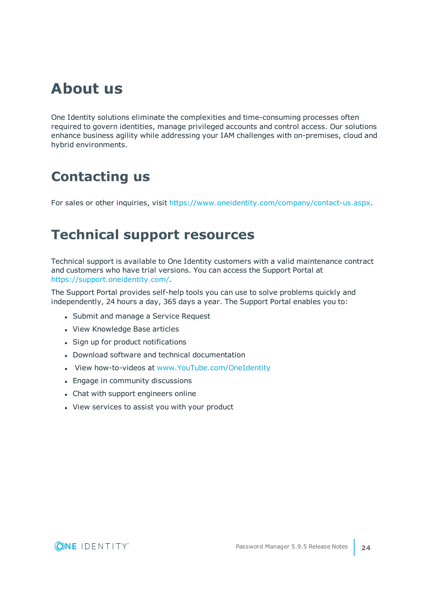## **About us**

One Identity solutions eliminate the complexities and time-consuming processes often required to govern identities, manage privileged accounts and control access. Our solutions enhance business agility while addressing your IAM challenges with on-premises, cloud and hybrid environments.

## **Contacting us**

For sales or other inquiries, visit <https://www.oneidentity.com/company/contact-us.aspx>.

### **Technical support resources**

Technical support is available to One Identity customers with a valid maintenance contract and customers who have trial versions. You can access the Support Portal at [https://support.oneidentity.com/.](https://support.oneidentity.com/)

The Support Portal provides self-help tools you can use to solve problems quickly and independently, 24 hours a day, 365 days a year. The Support Portal enables you to:

- Submit and manage a Service Request
- View Knowledge Base articles
- Sign up for product notifications
- Download software and technical documentation
- View how-to-videos at [www.YouTube.com/OneIdentity](http://www.youtube.com/OneIdentity)
- Engage in community discussions
- Chat with support engineers online
- View services to assist you with your product